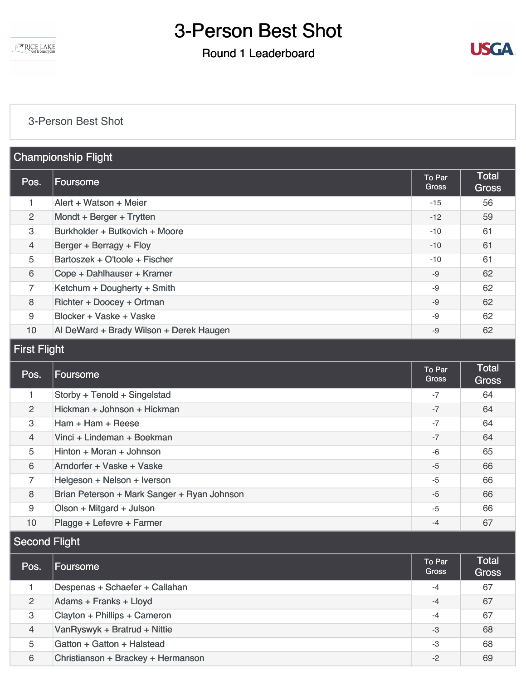**EXPENDE LAKE** 

## 3-Person Best Shot

#### Round 1 Leaderboard



#### [3-Person Best Shot](https://static.golfgenius.com/v2tournaments/8566621634239161673?called_from=&round_index=1)

| <b>Championship Flight</b> |                                         |                 |                              |
|----------------------------|-----------------------------------------|-----------------|------------------------------|
| Pos.                       | <b>Foursome</b>                         | To Par<br>Gross | <b>Total</b><br><b>Gross</b> |
| 1.                         | Alert + Watson + Meier                  | $-15$           | 56                           |
| $\overline{2}$             | Mondt + Berger + Trytten                | $-12$           | 59                           |
| 3                          | Burkholder + Butkovich + Moore          | $-10$           | 61                           |
| 4                          | Berger + Berragy + Floy                 | $-10$           | 61                           |
| 5                          | Bartoszek + O'toole + Fischer           | $-10$           | 61                           |
| 6                          | Cope + Dahlhauser + Kramer              | -9              | 62                           |
| $\overline{7}$             | Ketchum + Dougherty + Smith             | -9              | 62                           |
| 8                          | Richter + Doocey + Ortman               | $-9$            | 62                           |
| 9                          | Blocker + Vaske + Vaske                 | -9              | 62                           |
| 10                         | Al DeWard + Brady Wilson + Derek Haugen | $-9$            | 62                           |

### First Flight

| Pos.           | Foursome                                    | To Par<br><b>Gross</b> | <b>Total</b><br><b>Gross</b> |
|----------------|---------------------------------------------|------------------------|------------------------------|
|                | Storby + Tenold + Singelstad                | $-7$                   | 64                           |
| 2              | Hickman + Johnson + Hickman                 | $-7$                   | 64                           |
| 3              | Ham + Ham + Reese                           | $-7$                   | 64                           |
| $\overline{4}$ | Vinci + Lindeman + Boekman                  | $-7$                   | 64                           |
| 5              | Hinton + Moran + Johnson                    | -6                     | 65                           |
| 6              | Arndorfer + Vaske + Vaske                   | $-5$                   | 66                           |
| 7              | Helgeson + Nelson + Iverson                 | $-5$                   | 66                           |
| 8              | Brian Peterson + Mark Sanger + Ryan Johnson | $-5$                   | 66                           |
| 9              | Olson + Mitgard + Julson                    | $-5$                   | 66                           |
| 10             | Plagge + Lefevre + Farmer                   | $-4$                   | 67                           |

### Second Flight

| Pos. | Foursome                           | To Par<br><b>Gross</b> | <b>Total</b><br><b>Gross</b> |
|------|------------------------------------|------------------------|------------------------------|
|      | Despenas + Schaefer + Callahan     | $-4$                   | 67                           |
| 2    | Adams + Franks + Lloyd             | $-4$                   | 67                           |
| 3    | Clayton + Phillips + Cameron       | $-4$                   | 67                           |
| 4    | VanRyswyk + Bratrud + Nittie       | $-3$                   | 68                           |
| 5    | Gatton + Gatton + Halstead         | -3                     | 68                           |
| 6    | Christianson + Brackey + Hermanson | $-2$                   | 69                           |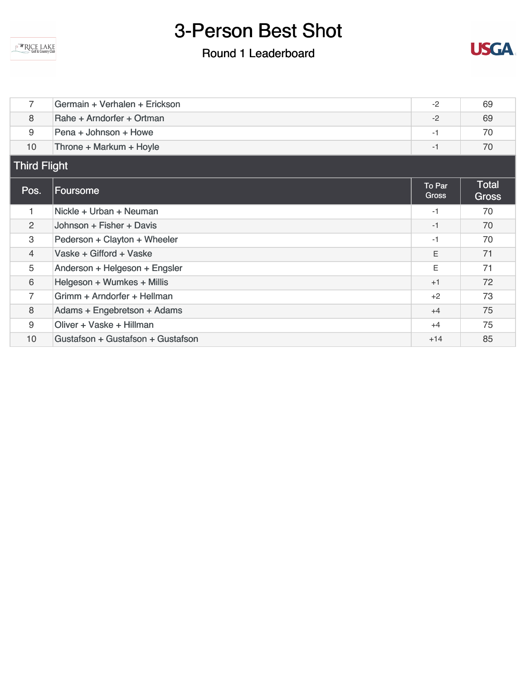**ARICE LAKE** 

## 3-Person Best Shot

## Round 1 Leaderboard



| 7                   | Germain + Verhalen + Erickson     | $-2$            | 69                    |
|---------------------|-----------------------------------|-----------------|-----------------------|
| 8                   | Rahe + Arndorfer + Ortman         | $-2$            | 69                    |
| 9                   | Pena + Johnson + Howe             | $-1$            | 70                    |
| 10 <sup>°</sup>     | Throne + Markum + Hoyle           | $-1$            | 70                    |
| <b>Third Flight</b> |                                   |                 |                       |
| Pos.                | <b>Foursome</b>                   | To Par<br>Gross | <b>Total</b><br>Gross |
| 1                   | Nickle + Urban + Neuman           | $-1$            | 70                    |
| $\overline{2}$      | Johnson + Fisher + Davis          | $-1$            | 70                    |
| 3                   | Pederson + Clayton + Wheeler      | $-1$            | 70                    |
| $\overline{4}$      | Vaske + Gifford + Vaske           | E               | 71                    |
| 5                   | Anderson + Helgeson + Engsler     | Ε               | 71                    |
| 6                   | Helgeson + Wumkes + Millis        | $+1$            | 72                    |
| $\overline{7}$      | Grimm + Arndorfer + Hellman       | $+2$            | 73                    |
| 8                   | Adams + Engebretson + Adams       | $+4$            | 75                    |
| 9                   | Oliver + Vaske + Hillman          | $+4$            | 75                    |
| 10                  | Gustafson + Gustafson + Gustafson | $+14$           | 85                    |